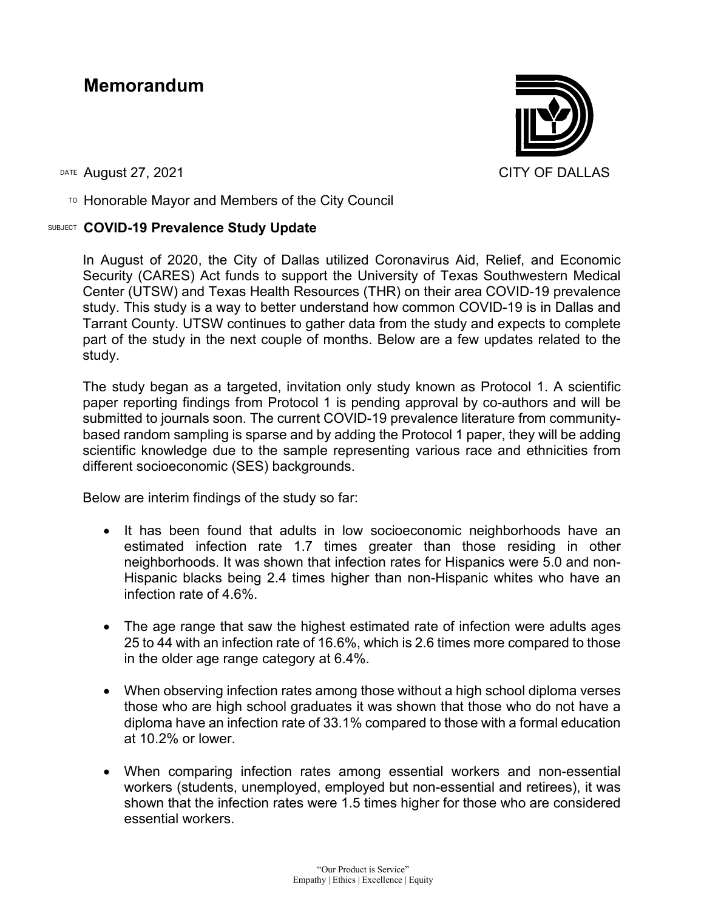## **Memorandum**

DATE August 27, 2021 CITY OF DALLAS

 $\text{To}$  Honorable Mayor and Members of the City Council

## SUBJECT **COVID-19 Prevalence Study Update**



In August of 2020, the City of Dallas utilized Coronavirus Aid, Relief, and Economic Security (CARES) Act funds to support the University of Texas Southwestern Medical Center (UTSW) and Texas Health Resources (THR) on their area COVID-19 prevalence study. This study is a way to better understand how common COVID-19 is in Dallas and Tarrant County. UTSW continues to gather data from the study and expects to complete part of the study in the next couple of months. Below are a few updates related to the study.

The study began as a targeted, invitation only study known as Protocol 1. A scientific paper reporting findings from Protocol 1 is pending approval by co-authors and will be submitted to journals soon. The current COVID-19 prevalence literature from communitybased random sampling is sparse and by adding the Protocol 1 paper, they will be adding scientific knowledge due to the sample representing various race and ethnicities from different socioeconomic (SES) backgrounds.

Below are interim findings of the study so far:

- It has been found that adults in low socioeconomic neighborhoods have an estimated infection rate 1.7 times greater than those residing in other neighborhoods. It was shown that infection rates for Hispanics were 5.0 and non-Hispanic blacks being 2.4 times higher than non-Hispanic whites who have an infection rate of 4.6%.
- The age range that saw the highest estimated rate of infection were adults ages 25 to 44 with an infection rate of 16.6%, which is 2.6 times more compared to those in the older age range category at 6.4%.
- When observing infection rates among those without a high school diploma verses those who are high school graduates it was shown that those who do not have a diploma have an infection rate of 33.1% compared to those with a formal education at 10.2% or lower.
- When comparing infection rates among essential workers and non-essential workers (students, unemployed, employed but non-essential and retirees), it was shown that the infection rates were 1.5 times higher for those who are considered essential workers.